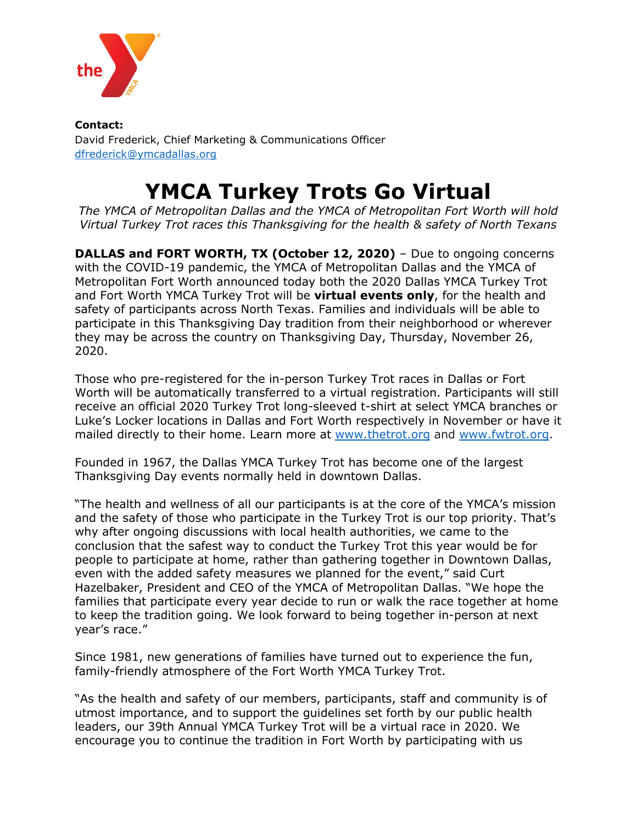

**Contact:** David Frederick, Chief Marketing & Communications Officer [dfrederick@ymcadallas.org](mailto:dfrederick@ymcadallas.org)

## **YMCA Turkey Trots Go Virtual**

*The YMCA of Metropolitan Dallas and the YMCA of Metropolitan Fort Worth will hold Virtual Turkey Trot races this Thanksgiving for the health & safety of North Texans*

**DALLAS and FORT WORTH, TX (October 12, 2020)** – Due to ongoing concerns with the COVID-19 pandemic, the YMCA of Metropolitan Dallas and the YMCA of Metropolitan Fort Worth announced today both the 2020 Dallas YMCA Turkey Trot and Fort Worth YMCA Turkey Trot will be **virtual events only**, for the health and safety of participants across North Texas. Families and individuals will be able to participate in this Thanksgiving Day tradition from their neighborhood or wherever they may be across the country on Thanksgiving Day, Thursday, November 26, 2020.

Those who pre-registered for the in-person Turkey Trot races in Dallas or Fort Worth will be automatically transferred to a virtual registration. Participants will still receive an official 2020 Turkey Trot long-sleeved t-shirt at select YMCA branches or Luke's Locker locations in Dallas and Fort Worth respectively in November or have it mailed directly to their home. Learn more at [www.thetrot.org](http://www.thetrot.org/) and [www.fwtrot.org.](http://www.fwtrot.org/)

Founded in 1967, the Dallas YMCA Turkey Trot has become one of the largest Thanksgiving Day events normally held in downtown Dallas.

"The health and wellness of all our participants is at the core of the YMCA's mission and the safety of those who participate in the Turkey Trot is our top priority. That's why after ongoing discussions with local health authorities, we came to the conclusion that the safest way to conduct the Turkey Trot this year would be for people to participate at home, rather than gathering together in Downtown Dallas, even with the added safety measures we planned for the event," said Curt Hazelbaker, President and CEO of the YMCA of Metropolitan Dallas. "We hope the families that participate every year decide to run or walk the race together at home to keep the tradition going. We look forward to being together in-person at next year's race."

Since 1981, new generations of families have turned out to experience the fun, family-friendly atmosphere of the Fort Worth YMCA Turkey Trot.

"As the health and safety of our members, participants, staff and community is of utmost importance, and to support the guidelines set forth by our public health leaders, our 39th Annual YMCA Turkey Trot will be a virtual race in 2020. We encourage you to continue the tradition in Fort Worth by participating with us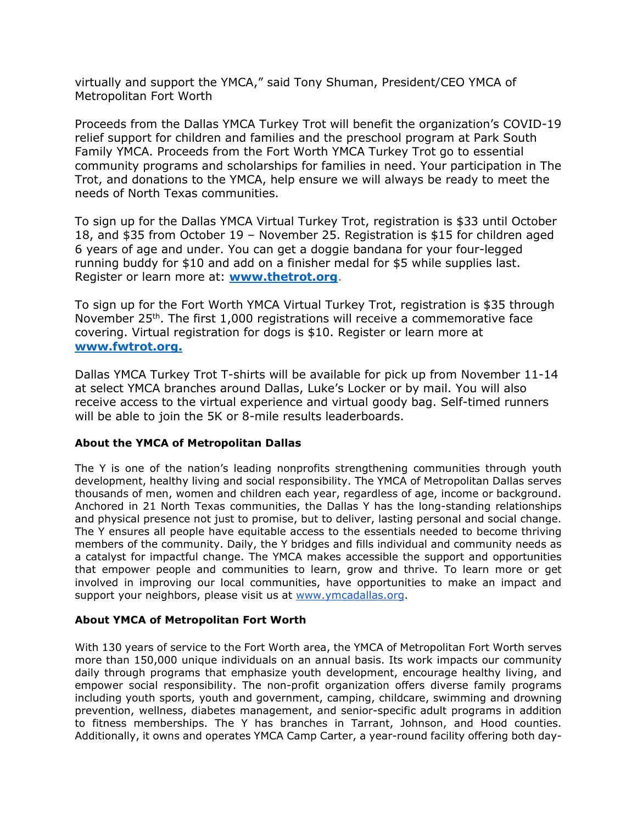virtually and support the YMCA," said Tony Shuman, President/CEO YMCA of Metropolitan Fort Worth

Proceeds from the Dallas YMCA Turkey Trot will benefit the organization's COVID-19 relief support for children and families and the preschool program at Park South Family YMCA. Proceeds from the Fort Worth YMCA Turkey Trot go to essential community programs and scholarships for families in need. Your participation in The Trot, and donations to the YMCA, help ensure we will always be ready to meet the needs of North Texas communities.

To sign up for the Dallas YMCA Virtual Turkey Trot, registration is \$33 until October 18, and \$35 from October 19 – November 25. Registration is \$15 for children aged 6 years of age and under. You can get a doggie bandana for your four-legged running buddy for \$10 and add on a finisher medal for \$5 while supplies last. Register or learn more at[:](https://www.ymcadallas.org/turkeytrot) **[www.thetrot.org](http://www.thetrot.org/)**.

To sign up for the Fort Worth YMCA Virtual Turkey Trot, registration is \$35 through November 25<sup>th</sup>. The first 1,000 registrations will receive a commemorative face covering. Virtual registration for dogs is \$10. Register or learn more at **[www.fwtrot.org.](http://www.fwtrot.org./)**

Dallas YMCA Turkey Trot T-shirts will be available for pick up from November 11-14 at select YMCA branches around Dallas, Luke's Locker or by mail. You will also receive access to the virtual experience and virtual goody bag. Self-timed runners will be able to join the 5K or 8-mile results leaderboards.

## **About the YMCA of Metropolitan Dallas**

The Y is one of the nation's leading nonprofits strengthening communities through youth development, healthy living and social responsibility. The YMCA of Metropolitan Dallas serves thousands of men, women and children each year, regardless of age, income or background. Anchored in 21 North Texas communities, the Dallas Y has the long-standing relationships and physical presence not just to promise, but to deliver, lasting personal and social change. The Y ensures all people have equitable access to the essentials needed to become thriving members of the community. Daily, the Y bridges and fills individual and community needs as a catalyst for impactful change. The YMCA makes accessible the support and opportunities that empower people and communities to learn, grow and thrive. To learn more or get involved in improving our local communities, have opportunities to make an impact and support your neighbors, please visit us at [www.ymcadallas.org.](http://www.ymcadallas.org/)

## **About YMCA of Metropolitan Fort Worth**

With 130 years of service to the Fort Worth area, the YMCA of Metropolitan Fort Worth serves more than 150,000 unique individuals on an annual basis. Its work impacts our community daily through programs that emphasize youth development, encourage healthy living, and empower social responsibility. The non-profit organization offers diverse family programs including youth sports, youth and government, camping, childcare, swimming and drowning prevention, wellness, diabetes management, and senior-specific adult programs in addition to fitness memberships. The Y has branches in Tarrant, Johnson, and Hood counties. Additionally, it owns and operates YMCA Camp Carter, a year-round facility offering both day